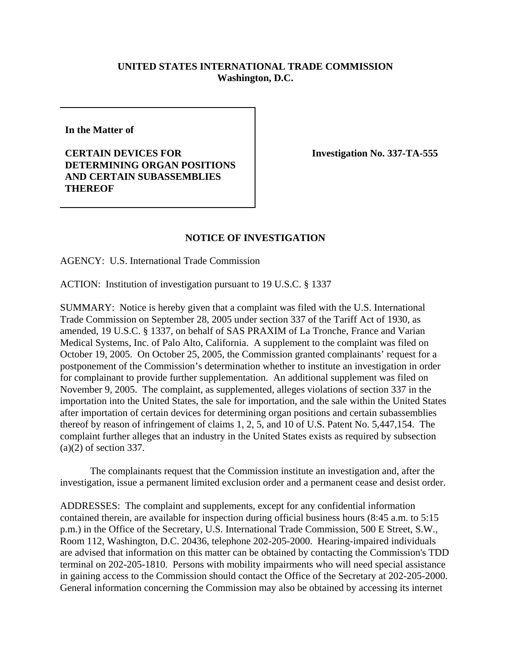## **UNITED STATES INTERNATIONAL TRADE COMMISSION Washington, D.C.**

**In the Matter of**

**CERTAIN DEVICES FOR DETERMINING ORGAN POSITIONS AND CERTAIN SUBASSEMBLIES THEREOF**

**Investigation No. 337-TA-555** 

## **NOTICE OF INVESTIGATION**

AGENCY: U.S. International Trade Commission

ACTION: Institution of investigation pursuant to 19 U.S.C. § 1337

SUMMARY: Notice is hereby given that a complaint was filed with the U.S. International Trade Commission on September 28, 2005 under section 337 of the Tariff Act of 1930, as amended, 19 U.S.C. § 1337, on behalf of SAS PRAXIM of La Tronche, France and Varian Medical Systems, Inc. of Palo Alto, California. A supplement to the complaint was filed on October 19, 2005. On October 25, 2005, the Commission granted complainants' request for a postponement of the Commission's determination whether to institute an investigation in order for complainant to provide further supplementation. An additional supplement was filed on November 9, 2005. The complaint, as supplemented, alleges violations of section 337 in the importation into the United States, the sale for importation, and the sale within the United States after importation of certain devices for determining organ positions and certain subassemblies thereof by reason of infringement of claims 1, 2, 5, and 10 of U.S. Patent No. 5,447,154. The complaint further alleges that an industry in the United States exists as required by subsection (a)(2) of section 337.

The complainants request that the Commission institute an investigation and, after the investigation, issue a permanent limited exclusion order and a permanent cease and desist order.

ADDRESSES: The complaint and supplements, except for any confidential information contained therein, are available for inspection during official business hours (8:45 a.m. to 5:15 p.m.) in the Office of the Secretary, U.S. International Trade Commission, 500 E Street, S.W., Room 112, Washington, D.C. 20436, telephone 202-205-2000. Hearing-impaired individuals are advised that information on this matter can be obtained by contacting the Commission's TDD terminal on 202-205-1810. Persons with mobility impairments who will need special assistance in gaining access to the Commission should contact the Office of the Secretary at 202-205-2000. General information concerning the Commission may also be obtained by accessing its internet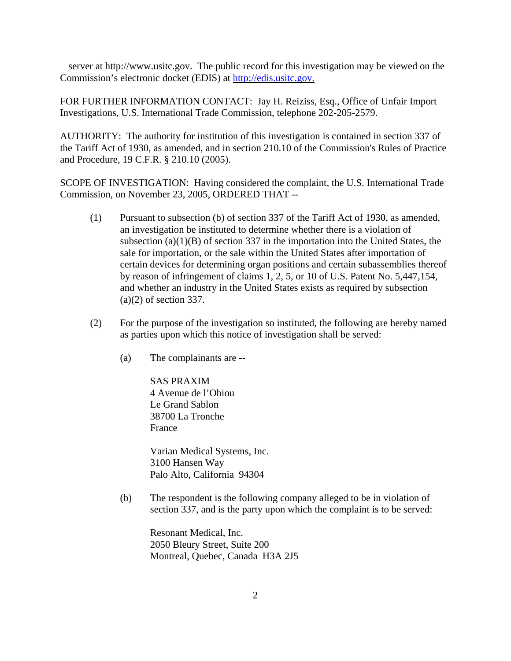server at http://www.usitc.gov. The public record for this investigation may be viewed on the Commission's electronic docket (EDIS) at http://edis.usitc.gov.

FOR FURTHER INFORMATION CONTACT: Jay H. Reiziss, Esq., Office of Unfair Import Investigations, U.S. International Trade Commission, telephone 202-205-2579.

AUTHORITY: The authority for institution of this investigation is contained in section 337 of the Tariff Act of 1930, as amended, and in section 210.10 of the Commission's Rules of Practice and Procedure, 19 C.F.R. § 210.10 (2005).

SCOPE OF INVESTIGATION: Having considered the complaint, the U.S. International Trade Commission, on November 23, 2005, ORDERED THAT --

- (1) Pursuant to subsection (b) of section 337 of the Tariff Act of 1930, as amended, an investigation be instituted to determine whether there is a violation of subsection  $(a)(1)(B)$  of section 337 in the importation into the United States, the sale for importation, or the sale within the United States after importation of certain devices for determining organ positions and certain subassemblies thereof by reason of infringement of claims 1, 2, 5, or 10 of U.S. Patent No. 5,447,154, and whether an industry in the United States exists as required by subsection (a)(2) of section 337.
- (2) For the purpose of the investigation so instituted, the following are hereby named as parties upon which this notice of investigation shall be served:
	- (a) The complainants are --

SAS PRAXIM 4 Avenue de l'Obiou Le Grand Sablon 38700 La Tronche France

Varian Medical Systems, Inc. 3100 Hansen Way Palo Alto, California 94304

(b) The respondent is the following company alleged to be in violation of section 337, and is the party upon which the complaint is to be served:

Resonant Medical, Inc. 2050 Bleury Street, Suite 200 Montreal, Quebec, Canada H3A 2J5